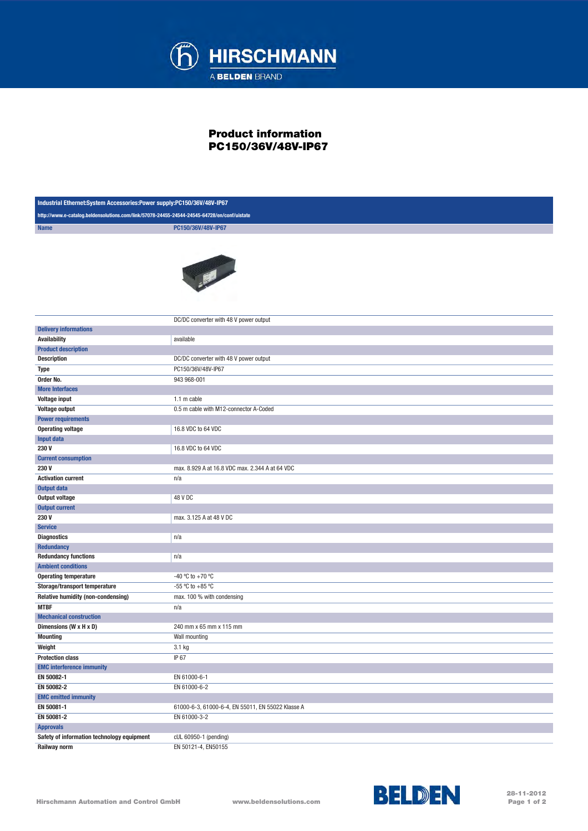

## Product information PC150/36V/48V-IP67

| Industrial Ethernet:System Accessories:Power supply:PC150/36V/48V-IP67                      |                                                   |  |
|---------------------------------------------------------------------------------------------|---------------------------------------------------|--|
| http://www.e-catalog.beldensolutions.com/link/57078-24455-24544-24545-64728/en/conf/uistate |                                                   |  |
| <b>Name</b>                                                                                 | PC150/36V/48V-IP67                                |  |
|                                                                                             | <b>TELESCOPE</b>                                  |  |
|                                                                                             | DC/DC converter with 48 V power output            |  |
| <b>Delivery informations</b>                                                                |                                                   |  |
| <b>Availability</b>                                                                         | available                                         |  |
| <b>Product description</b>                                                                  |                                                   |  |
| <b>Description</b>                                                                          | DC/DC converter with 48 V power output            |  |
| <b>Type</b>                                                                                 | PC150/36V/48V-IP67                                |  |
| Order No.                                                                                   | 943 968-001                                       |  |
| <b>More Interfaces</b>                                                                      |                                                   |  |
| <b>Voltage input</b>                                                                        | 1.1 m cable                                       |  |
| <b>Voltage output</b>                                                                       | 0.5 m cable with M12-connector A-Coded            |  |
| <b>Power requirements</b>                                                                   |                                                   |  |
| <b>Operating voltage</b>                                                                    | 16.8 VDC to 64 VDC                                |  |
| Input data                                                                                  |                                                   |  |
| 230V                                                                                        | 16.8 VDC to 64 VDC                                |  |
| <b>Current consumption</b>                                                                  |                                                   |  |
| 230V                                                                                        | max. 8.929 A at 16.8 VDC max. 2.344 A at 64 VDC   |  |
| <b>Activation current</b>                                                                   | n/a                                               |  |
| <b>Output data</b>                                                                          |                                                   |  |
| <b>Output voltage</b>                                                                       | 48 V DC                                           |  |
| <b>Output current</b>                                                                       |                                                   |  |
| 230V                                                                                        | max. 3.125 A at 48 V DC                           |  |
| <b>Service</b>                                                                              |                                                   |  |
| <b>Diagnostics</b>                                                                          | n/a                                               |  |
| <b>Redundancy</b>                                                                           |                                                   |  |
| <b>Redundancy functions</b>                                                                 | n/a                                               |  |
| <b>Ambient conditions</b>                                                                   |                                                   |  |
| <b>Operating temperature</b>                                                                | -40 °C to +70 °C                                  |  |
| Storage/transport temperature                                                               | -55 °C to +85 °C                                  |  |
| Relative humidity (non-condensing)                                                          | max. 100 % with condensing                        |  |
| <b>MTBF</b>                                                                                 | n/a                                               |  |
| <b>Mechanical construction</b>                                                              |                                                   |  |
| Dimensions (W x H x D)                                                                      | 240 mm x 65 mm x 115 mm                           |  |
| <b>Mounting</b>                                                                             | Wall mounting                                     |  |
| Weight                                                                                      | 3.1 kg                                            |  |
| <b>Protection class</b>                                                                     | IP 67                                             |  |
| <b>EMC interference immunity</b>                                                            |                                                   |  |
| EN 50082-1                                                                                  | EN 61000-6-1                                      |  |
| EN 50082-2                                                                                  | EN 61000-6-2                                      |  |
| <b>EMC emitted immunity</b>                                                                 |                                                   |  |
| EN 50081-1                                                                                  | 61000-6-3, 61000-6-4, EN 55011, EN 55022 Klasse A |  |
| EN 50081-2                                                                                  | EN 61000-3-2                                      |  |
| <b>Approvals</b>                                                                            |                                                   |  |
| Safety of information technology equipment                                                  | cUL 60950-1 (pending)                             |  |
| Railway norm                                                                                | EN 50121-4, EN50155                               |  |